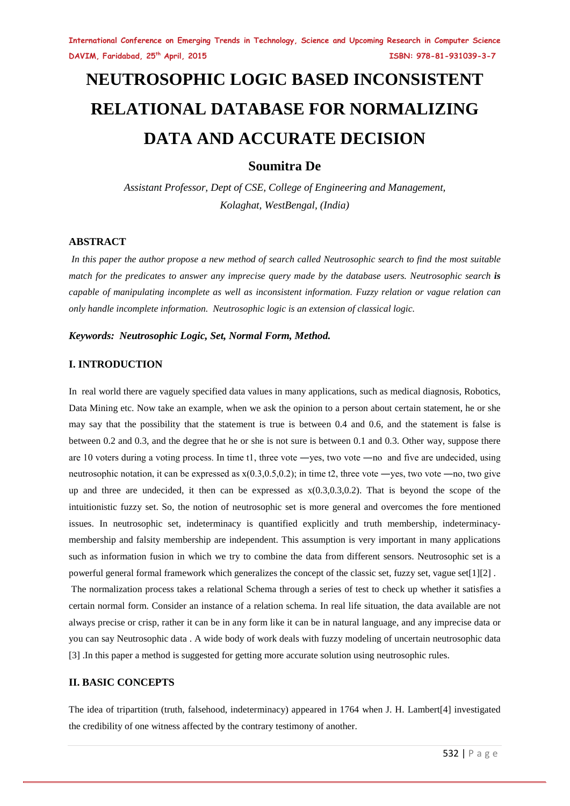# **NEUTROSOPHIC LOGIC BASED INCONSISTENT RELATIONAL DATABASE FOR NORMALIZING DATA AND ACCURATE DECISION**

# **Soumitra De**

*Assistant Professor, Dept of CSE, College of Engineering and Management, Kolaghat, WestBengal, (India)*

# **ABSTRACT**

*In this paper the author propose a new method of search called Neutrosophic search to find the most suitable match for the predicates to answer any imprecise query made by the database users. Neutrosophic search is capable of manipulating incomplete as well as inconsistent information. Fuzzy relation or vague relation can only handle incomplete information. Neutrosophic logic is an extension of classical logic.* 

*Keywords: Neutrosophic Logic, Set, Normal Form, Method.* 

# **I. INTRODUCTION**

In real world there are vaguely specified data values in many applications, such as medical diagnosis, Robotics, Data Mining etc. Now take an example, when we ask the opinion to a person about certain statement, he or she may say that the possibility that the statement is true is between 0.4 and 0.6, and the statement is false is between 0.2 and 0.3, and the degree that he or she is not sure is between 0.1 and 0.3. Other way, suppose there are 10 voters during a voting process. In time  $t_1$ , three vote  $-$ yes, two vote  $-$ no and five are undecided, using neutrosophic notation, it can be expressed as  $x(0.3, 0.5, 0.2)$ ; in time t2, three vote —yes, two vote —no, two give up and three are undecided, it then can be expressed as  $x(0.3,0.3,0.2)$ . That is beyond the scope of the intuitionistic fuzzy set. So, the notion of neutrosophic set is more general and overcomes the fore mentioned issues. In neutrosophic set, indeterminacy is quantified explicitly and truth membership, indeterminacymembership and falsity membership are independent. This assumption is very important in many applications such as information fusion in which we try to combine the data from different sensors. Neutrosophic set is a powerful general formal framework which generalizes the concept of the classic set, fuzzy set, vague set[1][2] .

The normalization process takes a relational Schema through a series of test to check up whether it satisfies a certain normal form. Consider an instance of a relation schema. In real life situation, the data available are not always precise or crisp, rather it can be in any form like it can be in natural language, and any imprecise data or you can say Neutrosophic data . A wide body of work deals with fuzzy modeling of uncertain neutrosophic data [3] .In this paper a method is suggested for getting more accurate solution using neutrosophic rules.

# **II. BASIC CONCEPTS**

The idea of tripartition (truth, falsehood, indeterminacy) appeared in 1764 when J. H. Lambert[4] investigated the credibility of one witness affected by the contrary testimony of another.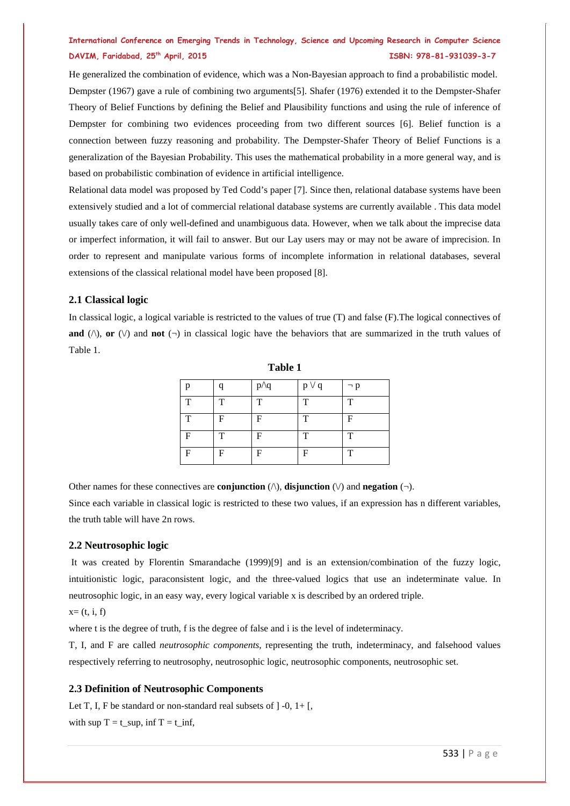He generalized the combination of evidence, which was a Non-Bayesian approach to find a probabilistic model. Dempster (1967) gave a rule of combining two arguments[5]. Shafer (1976) extended it to the Dempster-Shafer Theory of Belief Functions by defining the Belief and Plausibility functions and using the rule of inference of Dempster for combining two evidences proceeding from two different sources [6]. Belief function is a connection between fuzzy reasoning and probability. The Dempster-Shafer Theory of Belief Functions is a generalization of the Bayesian Probability. This uses the mathematical probability in a more general way, and is based on probabilistic combination of evidence in artificial intelligence.

Relational data model was proposed by Ted Codd's paper [7]. Since then, relational database systems have been extensively studied and a lot of commercial relational database systems are currently available . This data model usually takes care of only well-defined and unambiguous data. However, when we talk about the imprecise data or imperfect information, it will fail to answer. But our Lay users may or may not be aware of imprecision. In order to represent and manipulate various forms of incomplete information in relational databases, several extensions of the classical relational model have been proposed [8].

# **2.1 Classical logic**

In classical logic, a logical variable is restricted to the values of true (T) and false (F).The logical connectives of **and** ( $\land$ ), **or**  $(\lor)$  and **not**  $(\neg)$  in classical logic have the behaviors that are summarized in the truth values of Table 1.

| n |   | $p\wedge q$ | $p \vee q$ | $\neg p$ |
|---|---|-------------|------------|----------|
| T | T | T           | T          | T        |
| т | F | F           | т          | F        |
| F | т | F           | T          | T        |
| F | F | F           | F          | ᠇᠇       |

**Table 1**

Other names for these connectives are **conjunction**  $(\wedge)$ , **disjunction**  $(\vee)$  and **negation**  $(\neg)$ .

Since each variable in classical logic is restricted to these two values, if an expression has n different variables, the truth table will have 2n rows.

#### **2.2 Neutrosophic logic**

It was created by Florentin Smarandache (1999)[9] and is an extension/combination of the fuzzy logic, intuitionistic logic, paraconsistent logic, and the three-valued logics that use an indeterminate value. In neutrosophic logic, in an easy way, every logical variable x is described by an ordered triple.

# $x=(t, i, f)$

where t is the degree of truth, f is the degree of false and i is the level of indeterminacy.

T, I, and F are called *neutrosophic components*, representing the truth, indeterminacy, and falsehood values respectively referring to neutrosophy, neutrosophic logic, neutrosophic components, neutrosophic set.

# **2.3 Definition of Neutrosophic Components**

Let T, I, F be standard or non-standard real subsets of  $] -0, 1+$  [, with sup  $T = t$  sup, inf  $T = t$  inf,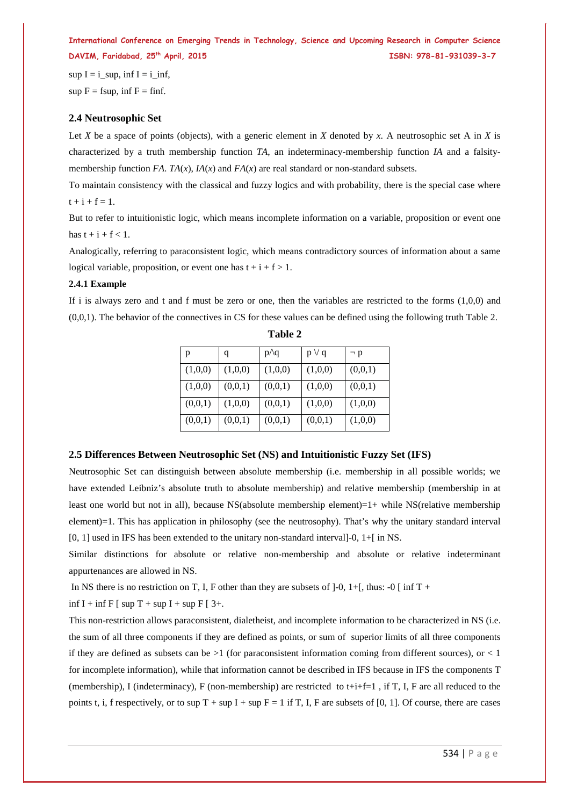sup  $I = i$  sup, inf  $I = i$  inf, sup  $F = f \text{sup}$ , inf  $F = f \text{inf}$ .

# **2.4 Neutrosophic Set**

Let *X* be a space of points (objects), with a generic element in *X* denoted by *x*. A neutrosophic set A in *X* is characterized by a truth membership function *TA*, an indeterminacy-membership function *IA* and a falsitymembership function *FA*. *TA*( $x$ ), *IA*( $x$ ) and *FA*( $x$ ) are real standard or non-standard subsets.

To maintain consistency with the classical and fuzzy logics and with probability, there is the special case where  $t + i + f = 1.$ 

But to refer to intuitionistic logic, which means incomplete information on a variable, proposition or event one has  $t + i + f < 1$ .

Analogically, referring to paraconsistent logic, which means contradictory sources of information about a same logical variable, proposition, or event one has  $t + i + f > 1$ .

# **2.4.1 Example**

If i is always zero and t and f must be zero or one, then the variables are restricted to the forms  $(1,0,0)$  and (0,0,1). The behavior of the connectives in CS for these values can be defined using the following truth Table 2.

| p       | q       | p/q     | $p \vee q$ | $\neg p$ |
|---------|---------|---------|------------|----------|
| (1,0,0) | (1,0,0) | (1,0,0) | (1,0,0)    | (0,0,1)  |
| (1,0,0) | (0,0,1) | (0,0,1) | (1,0,0)    | (0,0,1)  |
| (0,0,1) | (1,0,0) | (0,0,1) | (1,0,0)    | (1,0,0)  |
| (0,0,1) | (0,0,1) | (0,0,1) | (0,0,1)    | (1,0,0)  |

**Table 2**

# **2.5 Differences Between Neutrosophic Set (NS) and Intuitionistic Fuzzy Set (IFS)**

Neutrosophic Set can distinguish between absolute membership (i.e. membership in all possible worlds; we have extended Leibniz's absolute truth to absolute membership) and relative membership (membership in at least one world but not in all), because NS(absolute membership element)=1+ while NS(relative membership element)=1. This has application in philosophy (see the neutrosophy). That's why the unitary standard interval [0, 1] used in IFS has been extended to the unitary non-standard interval]-0, 1+[ in NS.

Similar distinctions for absolute or relative non-membership and absolute or relative indeterminant appurtenances are allowed in NS.

In NS there is no restriction on T, I, F other than they are subsets of  $]-0$ ,  $1+$ [, thus:  $-0$  [ inf T +

inf I + inf F  $\lceil \sin T + \sin T \rceil + \sin F \lceil 3 + \cdots$ 

This non-restriction allows paraconsistent, dialetheist, and incomplete information to be characterized in NS (i.e. the sum of all three components if they are defined as points, or sum of superior limits of all three components if they are defined as subsets can be  $>1$  (for paraconsistent information coming from different sources), or  $< 1$ for incomplete information), while that information cannot be described in IFS because in IFS the components T (membership), I (indeterminacy), F (non-membership) are restricted to t+i+f=1, if T, I, F are all reduced to the points t, i, f respectively, or to sup  $T + \sup I + \sup F = 1$  if T, I, F are subsets of [0, 1]. Of course, there are cases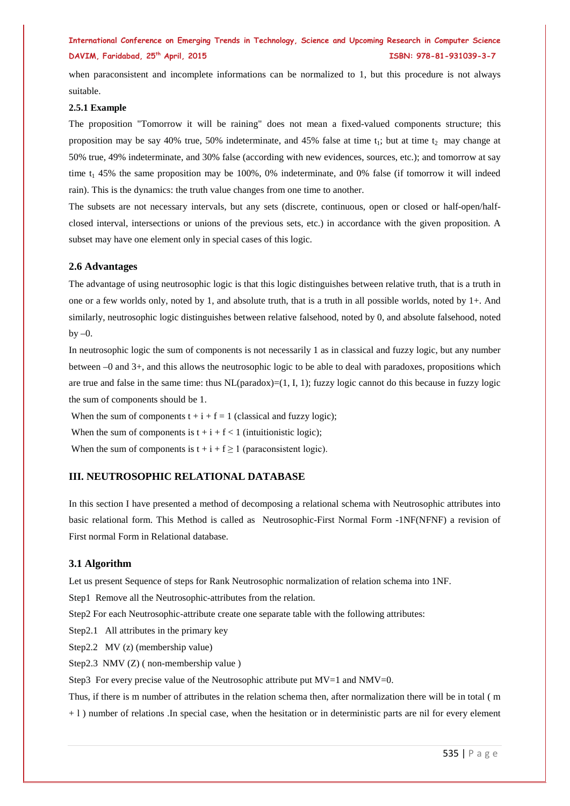when paraconsistent and incomplete informations can be normalized to 1, but this procedure is not always suitable.

#### **2.5.1 Example**

The proposition "Tomorrow it will be raining" does not mean a fixed-valued components structure; this proposition may be say 40% true, 50% indeterminate, and 45% false at time  $t_1$ ; but at time  $t_2$  may change at 50% true, 49% indeterminate, and 30% false (according with new evidences, sources, etc.); and tomorrow at say time  $t_1$  45% the same proposition may be 100%, 0% indeterminate, and 0% false (if tomorrow it will indeed rain). This is the dynamics: the truth value changes from one time to another.

The subsets are not necessary intervals, but any sets (discrete, continuous, open or closed or half-open/halfclosed interval, intersections or unions of the previous sets, etc.) in accordance with the given proposition. A subset may have one element only in special cases of this logic.

# **2.6 Advantages**

The advantage of using neutrosophic logic is that this logic distinguishes between relative truth, that is a truth in one or a few worlds only, noted by 1, and absolute truth, that is a truth in all possible worlds, noted by 1+. And similarly, neutrosophic logic distinguishes between relative falsehood, noted by 0, and absolute falsehood, noted  $hv = 0$ .

In neutrosophic logic the sum of components is not necessarily 1 as in classical and fuzzy logic, but any number between –0 and 3+, and this allows the neutrosophic logic to be able to deal with paradoxes, propositions which are true and false in the same time: thus  $NL(paradox)=(1, I, 1)$ ; fuzzy logic cannot do this because in fuzzy logic the sum of components should be 1.

When the sum of components  $t + i + f = 1$  (classical and fuzzy logic);

When the sum of components is  $t + i + f < 1$  (intuitionistic logic);

When the sum of components is  $t + i + f \ge 1$  (paraconsistent logic).

# **III. NEUTROSOPHIC RELATIONAL DATABASE**

In this section I have presented a method of decomposing a relational schema with Neutrosophic attributes into basic relational form. This Method is called as Neutrosophic-First Normal Form -1NF(NFNF) a revision of First normal Form in Relational database.

#### **3.1 Algorithm**

Let us present Sequence of steps for Rank Neutrosophic normalization of relation schema into 1NF.

Step1 Remove all the Neutrosophic-attributes from the relation.

Step2 For each Neutrosophic-attribute create one separate table with the following attributes:

Step2.1 All attributes in the primary key

Step2.2 MV (z) (membership value)

Step2.3 NMV (Z) ( non-membership value )

Step3 For every precise value of the Neutrosophic attribute put  $MV=1$  and  $NMV=0$ .

Thus, if there is m number of attributes in the relation schema then, after normalization there will be in total ( m + l ) number of relations .In special case, when the hesitation or in deterministic parts are nil for every element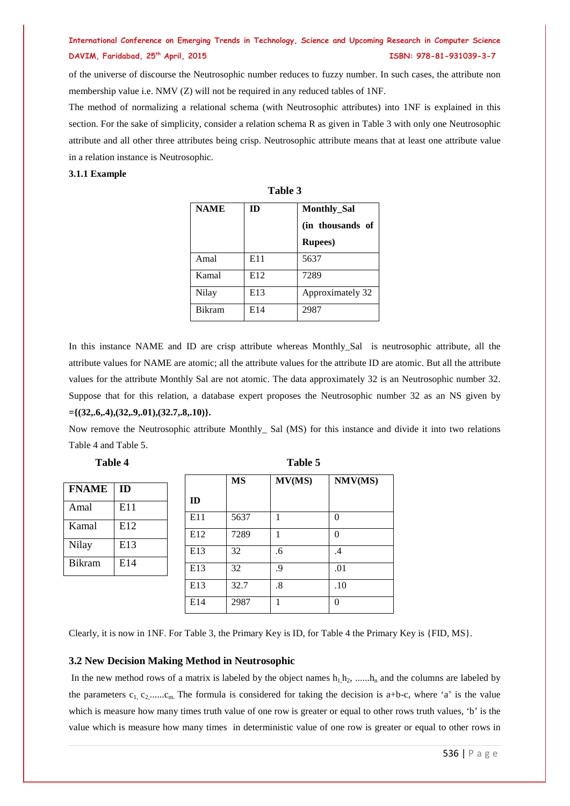of the universe of discourse the Neutrosophic number reduces to fuzzy number. In such cases, the attribute non membership value i.e. NMV (Z) will not be required in any reduced tables of 1NF.

The method of normalizing a relational schema (with Neutrosophic attributes) into 1NF is explained in this section. For the sake of simplicity, consider a relation schema R as given in Table 3 with only one Neutrosophic attribute and all other three attributes being crisp. Neutrosophic attribute means that at least one attribute value in a relation instance is Neutrosophic.

# **3.1.1 Example**

| Table 3       |     |                    |  |
|---------------|-----|--------------------|--|
| <b>NAME</b>   | ID  | <b>Monthly_Sal</b> |  |
|               |     | (in thousands of   |  |
|               |     | <b>Rupees</b> )    |  |
| Amal          | E11 | 5637               |  |
| Kamal         | E12 | 7289               |  |
| Nilay         | E13 | Approximately 32   |  |
| <b>Bikram</b> | E14 | 2987               |  |

In this instance NAME and ID are crisp attribute whereas Monthly\_Sal is neutrosophic attribute, all the attribute values for NAME are atomic; all the attribute values for the attribute ID are atomic. But all the attribute values for the attribute Monthly Sal are not atomic. The data approximately 32 is an Neutrosophic number 32. Suppose that for this relation, a database expert proposes the Neutrosophic number 32 as an NS given by **={(32,.6,.4),(32,.9,.01),(32.7,.8,.10)}.**

Now remove the Neutrosophic attribute Monthly\_ Sal (MS) for this instance and divide it into two relations Table 4 and Table 5.

| <b>FNAME</b>  | ID  |
|---------------|-----|
| Amal          | E11 |
| Kamal         | E12 |
| Nilay         | E13 |
| <b>Bikram</b> | E14 |
|               |     |

| Table 4 | Table 5 |
|---------|---------|
|---------|---------|

|     | <b>MS</b> | MV(MS) | NMV(MS)  |
|-----|-----------|--------|----------|
| ID  |           |        |          |
| E11 | 5637      | 1      | 0        |
| E12 | 7289      | 1      | $\theta$ |
| E13 | 32        | .6     | .4       |
| E13 | 32        | .9     | .01      |
| E13 | 32.7      | .8     | .10      |
| E14 | 2987      | 1      | $\theta$ |

Clearly, it is now in 1NF. For Table 3, the Primary Key is ID, for Table 4 the Primary Key is {FID, MS}.

# **3.2 New Decision Making Method in Neutrosophic**

In the new method rows of a matrix is labeled by the object names  $h_1, h_2, \ldots, h_n$  and the columns are labeled by the parameters  $c_1, c_2, \ldots, c_m$ . The formula is considered for taking the decision is a+b-c, where 'a' is the value which is measure how many times truth value of one row is greater or equal to other rows truth values, 'b' is the value which is measure how many times in deterministic value of one row is greater or equal to other rows in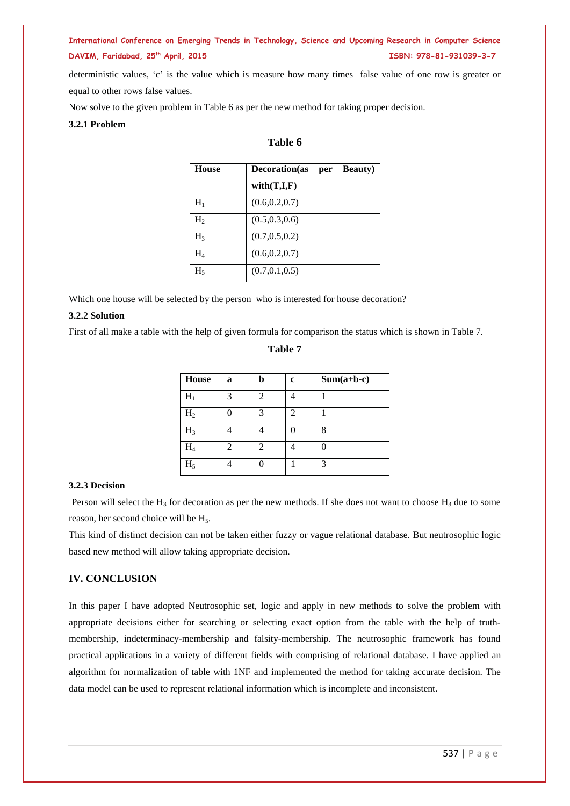deterministic values, 'c' is the value which is measure how many times false value of one row is greater or equal to other rows false values.

Now solve to the given problem in Table 6 as per the new method for taking proper decision.

# **3.2.1 Problem**

# **Table 6**

| House          | <b>Decoration</b> (as | per | <b>Beauty</b> ) |
|----------------|-----------------------|-----|-----------------|
|                | with(T,I,F)           |     |                 |
| $H_1$          | (0.6, 0.2, 0.7)       |     |                 |
| H,             | (0.5, 0.3, 0.6)       |     |                 |
| H <sub>3</sub> | (0.7, 0.5, 0.2)       |     |                 |
| $\rm{H}_{4}$   | (0.6, 0.2, 0.7)       |     |                 |
| $H_5$          | (0.7, 0.1, 0.5)       |     |                 |

Which one house will be selected by the person who is interested for house decoration?

## **3.2.2 Solution**

First of all make a table with the help of given formula for comparison the status which is shown in Table 7.

**Table 7**

| <b>House</b> | a              | h              | c | $Sum(a+b-c)$ |
|--------------|----------------|----------------|---|--------------|
| $\rm H_{1}$  | 3              | $\mathfrak{D}$ |   |              |
| $\rm{H}_{2}$ | ∩              | 3              | っ |              |
| $H_3$        |                |                |   | 8            |
| $\rm{H_4}$   | $\mathfrak{D}$ | っ              |   |              |
| $\rm{H}_{5}$ |                |                |   | 3            |

# **3.2.3 Decision**

Person will select the H<sub>3</sub> for decoration as per the new methods. If she does not want to choose H<sub>3</sub> due to some reason, her second choice will be H<sub>5</sub>.

This kind of distinct decision can not be taken either fuzzy or vague relational database. But neutrosophic logic based new method will allow taking appropriate decision.

# **IV. CONCLUSION**

In this paper I have adopted Neutrosophic set, logic and apply in new methods to solve the problem with appropriate decisions either for searching or selecting exact option from the table with the help of truthmembership, indeterminacy-membership and falsity-membership. The neutrosophic framework has found practical applications in a variety of different fields with comprising of relational database. I have applied an algorithm for normalization of table with 1NF and implemented the method for taking accurate decision. The data model can be used to represent relational information which is incomplete and inconsistent.